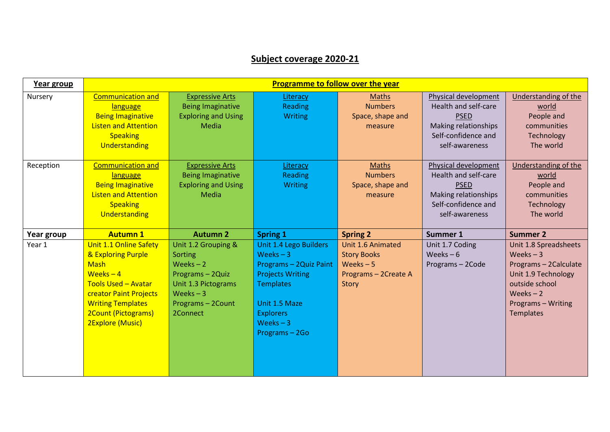## **Subject coverage 2020-21**

| Year group | <b>Programme to follow over the year</b>                                                                                                                                                                 |                                                                                                                                      |                                                                                                                                                                                  |                                                                                        |                                                                                                                              |                                                                                                                                                               |  |
|------------|----------------------------------------------------------------------------------------------------------------------------------------------------------------------------------------------------------|--------------------------------------------------------------------------------------------------------------------------------------|----------------------------------------------------------------------------------------------------------------------------------------------------------------------------------|----------------------------------------------------------------------------------------|------------------------------------------------------------------------------------------------------------------------------|---------------------------------------------------------------------------------------------------------------------------------------------------------------|--|
| Nursery    | <b>Communication and</b><br>language<br><b>Being Imaginative</b><br><b>Listen and Attention</b><br><b>Speaking</b><br>Understanding                                                                      | <b>Expressive Arts</b><br><b>Being Imaginative</b><br><b>Exploring and Using</b><br><b>Media</b>                                     | Literacy<br>Reading<br><b>Writing</b>                                                                                                                                            | <b>Maths</b><br><b>Numbers</b><br>Space, shape and<br>measure                          | Physical development<br>Health and self-care<br><b>PSED</b><br>Making relationships<br>Self-confidence and<br>self-awareness | <b>Understanding of the</b><br>world<br>People and<br>communities<br>Technology<br>The world                                                                  |  |
| Reception  | <b>Communication and</b><br>language<br><b>Being Imaginative</b><br><b>Listen and Attention</b><br><b>Speaking</b><br>Understanding                                                                      | <b>Expressive Arts</b><br><b>Being Imaginative</b><br><b>Exploring and Using</b><br><b>Media</b>                                     | Literacy<br><b>Reading</b><br><b>Writing</b>                                                                                                                                     | <b>Maths</b><br><b>Numbers</b><br>Space, shape and<br>measure                          | Physical development<br>Health and self-care<br><b>PSED</b><br>Making relationships<br>Self-confidence and<br>self-awareness | <b>Understanding of the</b><br>world<br>People and<br>communities<br>Technology<br>The world                                                                  |  |
| Year group | <b>Autumn 1</b>                                                                                                                                                                                          | <b>Autumn 2</b>                                                                                                                      | <b>Spring 1</b>                                                                                                                                                                  | <b>Spring 2</b>                                                                        | Summer 1                                                                                                                     | <b>Summer 2</b>                                                                                                                                               |  |
| Year 1     | Unit 1.1 Online Safety<br>& Exploring Purple<br><b>Mash</b><br>Weeks $-4$<br><b>Tools Used - Avatar</b><br>creator Paint Projects<br><b>Writing Templates</b><br>2Count (Pictograms)<br>2Explore (Music) | Unit 1.2 Grouping &<br>Sorting<br>Weeks $-2$<br>Programs - 2Quiz<br>Unit 1.3 Pictograms<br>Weeks $-3$<br>Programs-2Count<br>2Connect | Unit 1.4 Lego Builders<br>Weeks $-3$<br>Programs - 2Quiz Paint<br><b>Projects Writing</b><br><b>Templates</b><br>Unit 1.5 Maze<br><b>Explorers</b><br>Weeks $-3$<br>Programs-2Go | Unit 1.6 Animated<br><b>Story Books</b><br>Weeks $-5$<br>Programs - 2Create A<br>Story | Unit 1.7 Coding<br>Weeks $-6$<br>Programs-2Code                                                                              | Unit 1.8 Spreadsheets<br>Weeks $-3$<br>Programs - 2Calculate<br>Unit 1.9 Technology<br>outside school<br>Weeks $-2$<br>Programs - Writing<br><b>Templates</b> |  |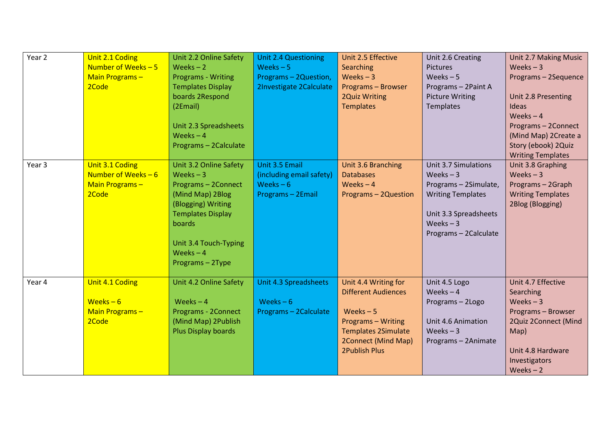| Year 2            | Unit 2.1 Coding<br>Number of Weeks - 5<br>Main Programs-<br>2Code  | Unit 2.2 Online Safety<br>Weeks $-2$<br><b>Programs - Writing</b><br><b>Templates Display</b><br>boards 2Respond<br>(2Email)<br>Unit 2.3 Spreadsheets<br>Weeks $-4$<br>Programs - 2Calculate           | <b>Unit 2.4 Questioning</b><br>Weeks $-5$<br>Programs - 2Question,<br>2Investigate 2Calculate | Unit 2.5 Effective<br>Searching<br>Weeks $-3$<br>Programs - Browser<br><b>2Quiz Writing</b><br><b>Templates</b>                                                            | Unit 2.6 Creating<br><b>Pictures</b><br>Weeks $-5$<br>Programs - 2Paint A<br><b>Picture Writing</b><br>Templates                                        | Unit 2.7 Making Music<br>Weeks $-3$<br>Programs - 2Sequence<br>Unit 2.8 Presenting<br>Ideas<br>Weeks $-4$<br>Programs - 2Connect<br>(Mind Map) 2Create a<br>Story (ebook) 2Quiz<br><b>Writing Templates</b> |
|-------------------|--------------------------------------------------------------------|--------------------------------------------------------------------------------------------------------------------------------------------------------------------------------------------------------|-----------------------------------------------------------------------------------------------|----------------------------------------------------------------------------------------------------------------------------------------------------------------------------|---------------------------------------------------------------------------------------------------------------------------------------------------------|-------------------------------------------------------------------------------------------------------------------------------------------------------------------------------------------------------------|
| Year <sub>3</sub> | Unit 3.1 Coding<br>Number of Weeks $-6$<br>Main Programs-<br>2Code | Unit 3.2 Online Safety<br>Weeks $-3$<br>Programs - 2Connect<br>(Mind Map) 2Blog<br>(Blogging) Writing<br><b>Templates Display</b><br>boards<br>Unit 3.4 Touch-Typing<br>Weeks $-4$<br>Programs - 2Type | Unit 3.5 Email<br>(including email safety)<br>Weeks $-6$<br>Programs - 2Email                 | Unit 3.6 Branching<br><b>Databases</b><br>Weeks $-4$<br>Programs - 2Question                                                                                               | Unit 3.7 Simulations<br>Weeks $-3$<br>Programs - 2Simulate,<br><b>Writing Templates</b><br>Unit 3.3 Spreadsheets<br>Weeks $-3$<br>Programs - 2Calculate | Unit 3.8 Graphing<br>Weeks $-3$<br>Programs - 2Graph<br><b>Writing Templates</b><br>2Blog (Blogging)                                                                                                        |
| Year 4            | Unit 4.1 Coding<br>Weeks $-6$<br>Main Programs-<br>2Code           | Unit 4.2 Online Safety<br>Weeks $-4$<br>Programs - 2Connect<br>(Mind Map) 2Publish<br>Plus Display boards                                                                                              | Unit 4.3 Spreadsheets<br>Weeks $-6$<br>Programs - 2Calculate                                  | Unit 4.4 Writing for<br><b>Different Audiences</b><br>Weeks $-5$<br><b>Programs - Writing</b><br><b>Templates 2Simulate</b><br>2Connect (Mind Map)<br><b>2Publish Plus</b> | Unit 4.5 Logo<br>Weeks $-4$<br>Programs-2Logo<br>Unit 4.6 Animation<br>Weeks $-3$<br>Programs - 2Animate                                                | Unit 4.7 Effective<br>Searching<br>Weeks $-3$<br>Programs - Browser<br>2Quiz 2Connect (Mind<br>Map)<br>Unit 4.8 Hardware<br>Investigators<br>Weeks $-2$                                                     |